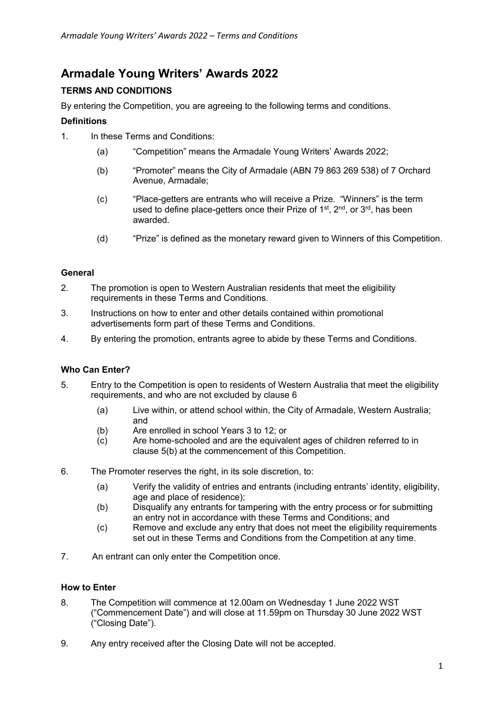# **Armadale Young Writers' Awards 2022**

## **TERMS AND CONDITIONS**

By entering the Competition, you are agreeing to the following terms and conditions.

## **Definitions**

- 1. In these Terms and Conditions:
	- (a) "Competition" means the Armadale Young Writers' Awards 2022;
	- (b) "Promoter" means the City of Armadale (ABN 79 863 269 538) of 7 Orchard Avenue, Armadale;
	- (c) "Place-getters are entrants who will receive a Prize. "Winners" is the term used to define place-getters once their Prize of 1<sup>st</sup>, 2<sup>nd</sup>, or 3<sup>rd</sup>, has been awarded.
	- (d) "Prize" is defined as the monetary reward given to Winners of this Competition.

## **General**

- 2. The promotion is open to Western Australian residents that meet the eligibility requirements in these Terms and Conditions.
- 3. Instructions on how to enter and other details contained within promotional advertisements form part of these Terms and Conditions.
- 4. By entering the promotion, entrants agree to abide by these Terms and Conditions.

## **Who Can Enter?**

- 5. Entry to the Competition is open to residents of Western Australia that meet the eligibility requirements, and who are not excluded by clause 6
	- (a) Live within, or attend school within, the City of Armadale, Western Australia; and
	- (b) Are enrolled in school Years 3 to 12; or
	- (c) Are home-schooled and are the equivalent ages of children referred to in clause 5(b) at the commencement of this Competition.
- 6. The Promoter reserves the right, in its sole discretion, to:
	- (a) Verify the validity of entries and entrants (including entrants' identity, eligibility, age and place of residence);
	- (b) Disqualify any entrants for tampering with the entry process or for submitting an entry not in accordance with these Terms and Conditions; and
	- (c) Remove and exclude any entry that does not meet the eligibility requirements set out in these Terms and Conditions from the Competition at any time.
- 7. An entrant can only enter the Competition once.

## **How to Enter**

- 8. The Competition will commence at 12.00am on Wednesday 1 June 2022 WST ("Commencement Date") and will close at 11.59pm on Thursday 30 June 2022 WST ("Closing Date").
- 9. Any entry received after the Closing Date will not be accepted.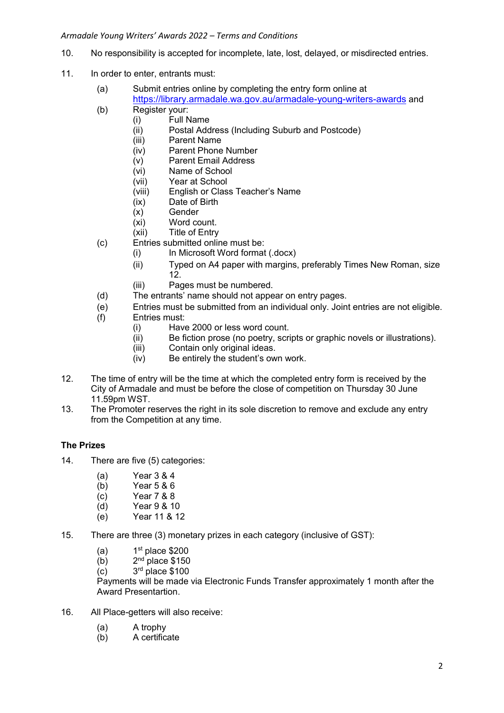- 10. No responsibility is accepted for incomplete, late, lost, delayed, or misdirected entries.
- 11. In order to enter, entrants must:
	- (a) Submit entries online by completing the entry form online at https://library.armadale.wa.gov.au/armadale-young-writers-awards and
	- (b) Register your:
		- (i) Full Name
			- (ii) Postal Address (Including Suburb and Postcode)
			- (iii) Parent Name
			- (iv) Parent Phone Number
			- (v) Parent Email Address
			- (vi) Name of School
			- (vii) Year at School
			- (viii) English or Class Teacher's Name
			- (ix) Date of Birth
			- (x) Gender
			- (xi) Word count.
			- (xii) Title of Entry
	- (c) Entries submitted online must be:
		- (i) In Microsoft Word format (.docx)
		- (ii) Typed on A4 paper with margins, preferably Times New Roman, size 12.
		- (iii) Pages must be numbered.
	- (d) The entrants' name should not appear on entry pages.
	- (e) Entries must be submitted from an individual only. Joint entries are not eligible.
	- (f) Entries must:
		- (i) Have 2000 or less word count.
		- (ii) Be fiction prose (no poetry, scripts or graphic novels or illustrations).
		- (iii) Contain only original ideas.
		- (iv) Be entirely the student's own work.
- 12. The time of entry will be the time at which the completed entry form is received by the City of Armadale and must be before the close of competition on Thursday 30 June 11.59pm WST.
- 13. The Promoter reserves the right in its sole discretion to remove and exclude any entry from the Competition at any time.

## **The Prizes**

- 14. There are five (5) categories:
	- (a) Year 3 & 4
	-
	- $(b)$  Year 5 & 6<br>(c) Year 7 & 8 Year 7 & 8
	- $(d)$  Year 9 & 10
	- (e) Year 11 & 12
- 15. There are three (3) monetary prizes in each category (inclusive of GST):
	- $(a)$  $1<sup>st</sup>$  place \$200
	- $(b)$  $2<sup>nd</sup>$  place \$150
	- $(c)$  $3<sup>rd</sup>$  place \$100

Payments will be made via Electronic Funds Transfer approximately 1 month after the Award Presentartion.

- 16. All Place-getters will also receive:
	- (a) A trophy
	- (b) A certificate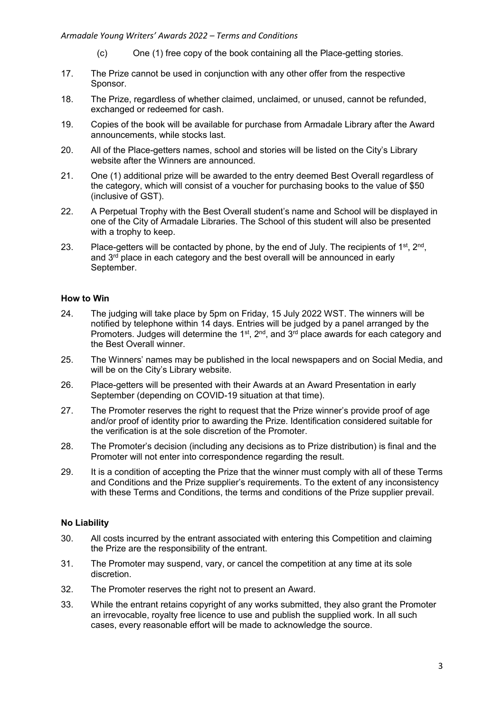- (c) One (1) free copy of the book containing all the Place-getting stories.
- 17. The Prize cannot be used in conjunction with any other offer from the respective Sponsor.
- 18. The Prize, regardless of whether claimed, unclaimed, or unused, cannot be refunded, exchanged or redeemed for cash.
- 19. Copies of the book will be available for purchase from Armadale Library after the Award announcements, while stocks last.
- 20. All of the Place-getters names, school and stories will be listed on the City's Library website after the Winners are announced.
- 21. One (1) additional prize will be awarded to the entry deemed Best Overall regardless of the category, which will consist of a voucher for purchasing books to the value of \$50 (inclusive of GST).
- 22. A Perpetual Trophy with the Best Overall student's name and School will be displayed in one of the City of Armadale Libraries. The School of this student will also be presented with a trophy to keep.
- 23. Place-getters will be contacted by phone, by the end of July. The recipients of  $1^{st}$ ,  $2^{nd}$ , and  $3<sup>rd</sup>$  place in each category and the best overall will be announced in early September.

#### **How to Win**

- 24. The judging will take place by 5pm on Friday, 15 July 2022 WST. The winners will be notified by telephone within 14 days. Entries will be judged by a panel arranged by the Promoters. Judges will determine the 1<sup>st</sup>, 2<sup>nd</sup>, and 3<sup>rd</sup> place awards for each category and the Best Overall winner.
- 25. The Winners' names may be published in the local newspapers and on Social Media, and will be on the City's Library website.
- 26. Place-getters will be presented with their Awards at an Award Presentation in early September (depending on COVID-19 situation at that time).
- 27. The Promoter reserves the right to request that the Prize winner's provide proof of age and/or proof of identity prior to awarding the Prize. Identification considered suitable for the verification is at the sole discretion of the Promoter.
- 28. The Promoter's decision (including any decisions as to Prize distribution) is final and the Promoter will not enter into correspondence regarding the result.
- 29. It is a condition of accepting the Prize that the winner must comply with all of these Terms and Conditions and the Prize supplier's requirements. To the extent of any inconsistency with these Terms and Conditions, the terms and conditions of the Prize supplier prevail.

## **No Liability**

- 30. All costs incurred by the entrant associated with entering this Competition and claiming the Prize are the responsibility of the entrant.
- 31. The Promoter may suspend, vary, or cancel the competition at any time at its sole discretion.
- 32. The Promoter reserves the right not to present an Award.
- 33. While the entrant retains copyright of any works submitted, they also grant the Promoter an irrevocable, royalty free licence to use and publish the supplied work. In all such cases, every reasonable effort will be made to acknowledge the source.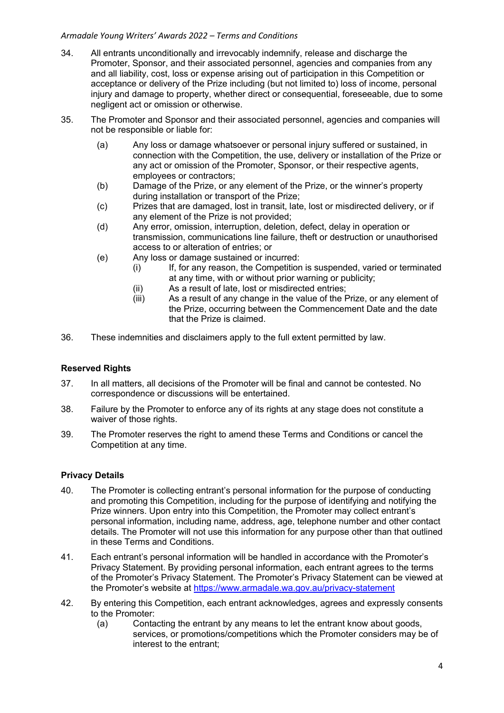- 34. All entrants unconditionally and irrevocably indemnify, release and discharge the Promoter, Sponsor, and their associated personnel, agencies and companies from any and all liability, cost, loss or expense arising out of participation in this Competition or acceptance or delivery of the Prize including (but not limited to) loss of income, personal injury and damage to property, whether direct or consequential, foreseeable, due to some negligent act or omission or otherwise.
- 35. The Promoter and Sponsor and their associated personnel, agencies and companies will not be responsible or liable for:
	- (a) Any loss or damage whatsoever or personal injury suffered or sustained, in connection with the Competition, the use, delivery or installation of the Prize or any act or omission of the Promoter, Sponsor, or their respective agents, employees or contractors;
	- (b) Damage of the Prize, or any element of the Prize, or the winner's property during installation or transport of the Prize;
	- (c) Prizes that are damaged, lost in transit, late, lost or misdirected delivery, or if any element of the Prize is not provided;
	- (d) Any error, omission, interruption, deletion, defect, delay in operation or transmission, communications line failure, theft or destruction or unauthorised access to or alteration of entries; or
	- (e) Any loss or damage sustained or incurred:
		- (i) If, for any reason, the Competition is suspended, varied or terminated at any time, with or without prior warning or publicity;
		- (ii) As a result of late, lost or misdirected entries;
		- (iii) As a result of any change in the value of the Prize, or any element of the Prize, occurring between the Commencement Date and the date that the Prize is claimed.
- 36. These indemnities and disclaimers apply to the full extent permitted by law.

## **Reserved Rights**

- 37. In all matters, all decisions of the Promoter will be final and cannot be contested. No correspondence or discussions will be entertained.
- 38. Failure by the Promoter to enforce any of its rights at any stage does not constitute a waiver of those rights.
- 39. The Promoter reserves the right to amend these Terms and Conditions or cancel the Competition at any time.

## **Privacy Details**

- 40. The Promoter is collecting entrant's personal information for the purpose of conducting and promoting this Competition, including for the purpose of identifying and notifying the Prize winners. Upon entry into this Competition, the Promoter may collect entrant's personal information, including name, address, age, telephone number and other contact details. The Promoter will not use this information for any purpose other than that outlined in these Terms and Conditions.
- 41. Each entrant's personal information will be handled in accordance with the Promoter's Privacy Statement. By providing personal information, each entrant agrees to the terms of the Promoter's Privacy Statement. The Promoter's Privacy Statement can be viewed at the Promoter's website at<https://www.armadale.wa.gov.au/privacy-statement>
- 42. By entering this Competition, each entrant acknowledges, agrees and expressly consents to the Promoter:
	- (a) Contacting the entrant by any means to let the entrant know about goods, services, or promotions/competitions which the Promoter considers may be of interest to the entrant;